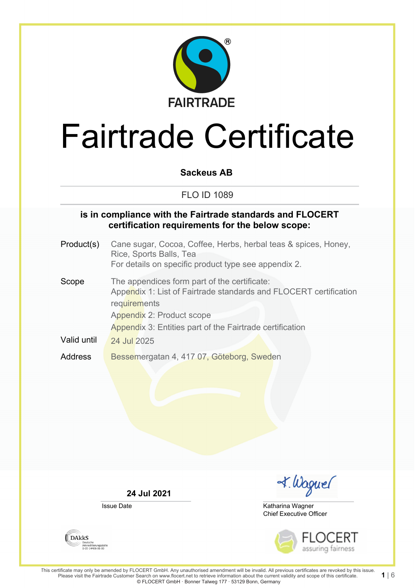

## **Sackeus AB**

## FLO ID 1089

### **is in compliance with the Fairtrade standards and FLOCERT certification requirements for the below scope:**

Product(s) Cane sugar, Cocoa, Coffee, Herbs, herbal teas & spices, Honey, Rice, Sports Balls, Tea For details on specific product type see appendix 2. Scope The appendices form part of the certificate: Appendix 1: List of Fairtrade standards and FLOCERT certification **requirements** Appendix 2: Product scope Appendix 3: Entities part of the Fairtrade certification Valid until  $\sqrt{24}$  Jul 2025 Address Bessemergatan 4, 417 07, Göteborg, Sweden

**24 Jul 2021**

Issue Date



Chief Executive Officer Katharina Wagner



**1** | 6

**DAKKS** Akkreditierungsstelle<br>D-ZE-14408-01-00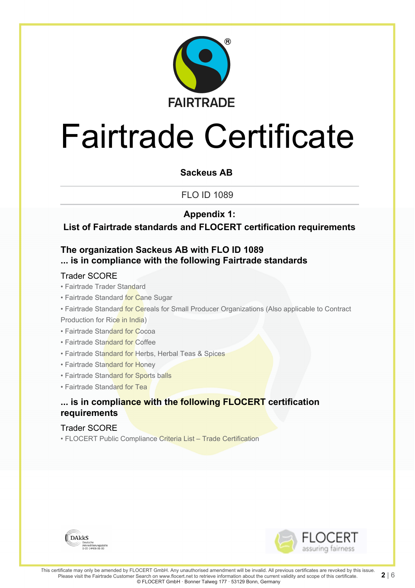

## **Sackeus AB**

FLO ID 1089

# **Appendix 1:**

# **List of Fairtrade standards and FLOCERT certification requirements**

# **The organization Sackeus AB with FLO ID 1089 ... is in compliance with the following Fairtrade standards**

### Trader SCORE

#### • Fairtrade Trader Standard

- Fairtrade Standard for Cane Sugar
- Fairtrade Standard for Cereals for Small Producer Organizations (Also applicable to Contract Production for Rice in India)
- Fairtrade Standard for Cocoa
- Fairtrade Standard for Coffee
- Fairtrade Standard for Herbs, Herbal Teas & Spices
- Fairtrade Standard for Honey
- Fairtrade Standard for Sports balls
- Fairtrade Standard for Tea

# **... is in compliance with the following FLOCERT certification requirements**

#### Trader SCORE

• FLOCERT Public Compliance Criteria List – Trade Certification



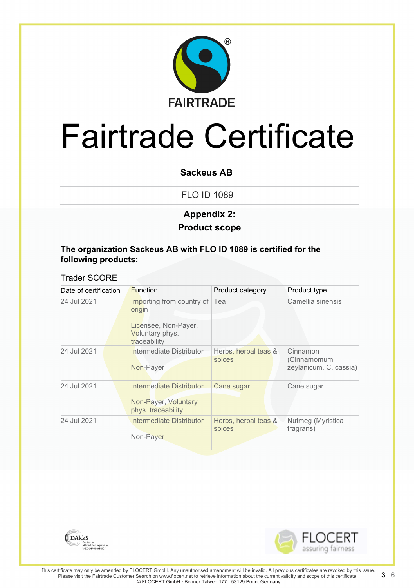

### **Sackeus AB**

FLO ID 1089

# **Product scope Appendix 2:**

### **The organization Sackeus AB with FLO ID 1089 is certified for the following products:**

### Trader SCORE

| Date of certification | <b>Function</b>                                                        | Product category               | Product type                                      |
|-----------------------|------------------------------------------------------------------------|--------------------------------|---------------------------------------------------|
| 24 Jul 2021           | Importing from country of Tea<br>origin                                |                                | Camellia sinensis                                 |
|                       | Licensee, Non-Payer,<br>Voluntary phys.<br>traceability                |                                |                                                   |
| 24 Jul 2021           | Intermediate Distributor<br>Non-Payer                                  | Herbs, herbal teas &<br>spices | Cinnamon<br>(Cinnamomum<br>zeylanicum, C. cassia) |
| 24 Jul 2021           | Intermediate Distributor<br>Non-Payer, Voluntary<br>phys. traceability | Cane sugar                     | Cane sugar                                        |
| 24 Jul 2021           | Intermediate Distributor<br>Non-Payer                                  | Herbs, herbal teas &<br>spices | Nutmeg (Myristica<br>fragrans)                    |



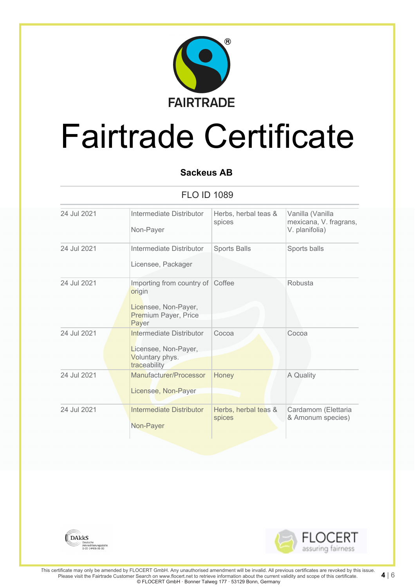

# **Sackeus AB**

FLO ID 1089

| 24 Jul 2021 | Intermediate Distributor<br>Non-Payer                                                        | Herbs, herbal teas &<br>spices | Vanilla (Vanilla<br>mexicana, V. fragrans,<br>V. planifolia) |
|-------------|----------------------------------------------------------------------------------------------|--------------------------------|--------------------------------------------------------------|
| 24 Jul 2021 | Intermediate Distributor<br>Licensee, Packager                                               | Sports Balls                   | Sports balls                                                 |
| 24 Jul 2021 | Importing from country of<br>origin<br>Licensee, Non-Payer,<br>Premium Payer, Price<br>Payer | Coffee                         | Robusta                                                      |
| 24 Jul 2021 | Intermediate Distributor<br>Licensee, Non-Payer,<br>Voluntary phys.<br>traceability          | Cocoa                          | Cocoa                                                        |
| 24 Jul 2021 | Manufacturer/Processor<br>Licensee, Non-Payer                                                | Honey                          | A Quality                                                    |
| 24 Jul 2021 | <b>Intermediate Distributor</b><br>Non-Payer                                                 | Herbs, herbal teas &<br>spices | Cardamom (Elettaria<br>& Amonum species)                     |



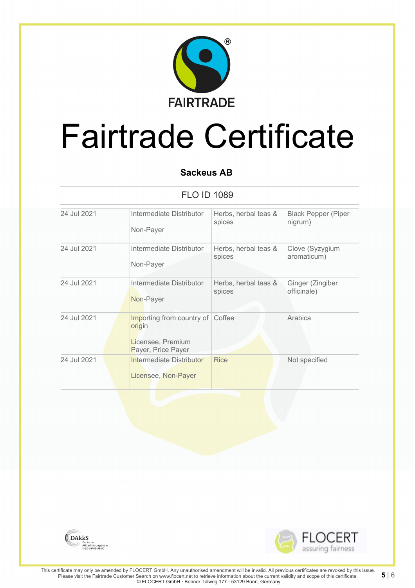

# **Sackeus AB**

FLO ID 1089

| 24 Jul 2021 | Intermediate Distributor                                                       | Herbs, herbal teas & | <b>Black Pepper (Piper</b> |
|-------------|--------------------------------------------------------------------------------|----------------------|----------------------------|
|             | Non-Payer                                                                      | spices               | nigrum)                    |
| 24 Jul 2021 | Intermediate Distributor                                                       | Herbs, herbal teas & | Clove (Syzygium            |
|             | Non-Payer                                                                      | spices               | aromaticum)                |
| 24 Jul 2021 | Intermediate Distributor                                                       | Herbs, herbal teas & | Ginger (Zingiber           |
|             | Non-Payer                                                                      | spices               | officinale)                |
| 24 Jul 2021 | Importing from country of<br>origin<br>Licensee, Premium<br>Payer, Price Payer | Coffee               | Arabica                    |
| 24 Jul 2021 | Intermediate Distributor<br>Licensee, Non-Payer                                | <b>Rice</b>          | Not specified              |